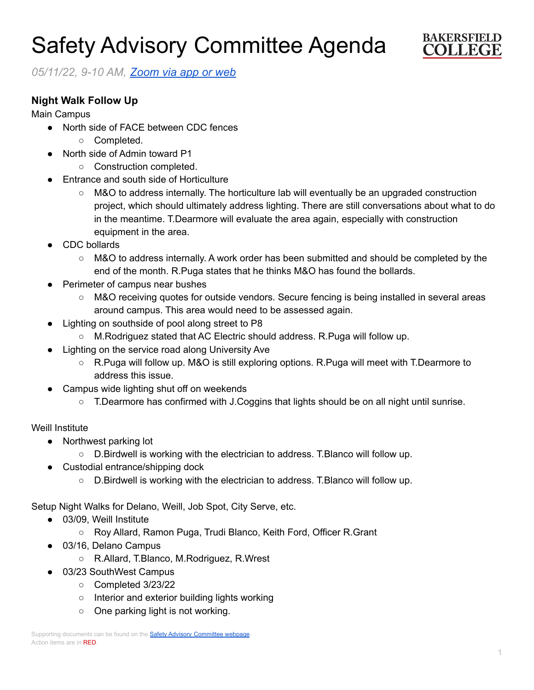# Safety Advisory Committee Agenda



*05/11/22, 9-10 AM, [Zoom](https://cccconfer.zoom.us/j/95588517472?pwd=OTV2dmFlMHN3dWkxRndrem1YL2dQQT09) via app or web*

## **Night Walk Follow Up**

Main Campus

- North side of FACE between CDC fences
	- Completed.
- North side of Admin toward P1
	- Construction completed.
- **Entrance and south side of Horticulture** 
	- M&O to address internally. The horticulture lab will eventually be an upgraded construction project, which should ultimately address lighting. There are still conversations about what to do in the meantime. T.Dearmore will evaluate the area again, especially with construction equipment in the area.
- CDC bollards
	- M&O to address internally. A work order has been submitted and should be completed by the end of the month. R.Puga states that he thinks M&O has found the bollards.
- **Perimeter of campus near bushes** 
	- M&O receiving quotes for outside vendors. Secure fencing is being installed in several areas around campus. This area would need to be assessed again.
- Lighting on southside of pool along street to P8
	- M.Rodriguez stated that AC Electric should address. R.Puga will follow up.
- Lighting on the service road along University Ave
	- R.Puga will follow up. M&O is still exploring options. R.Puga will meet with T.Dearmore to address this issue.
- Campus wide lighting shut off on weekends
	- T.Dearmore has confirmed with J.Coggins that lights should be on all night until sunrise.

## Weill Institute

- Northwest parking lot
	- D.Birdwell is working with the electrician to address. T.Blanco will follow up.
- Custodial entrance/shipping dock
	- D.Birdwell is working with the electrician to address. T.Blanco will follow up.

Setup Night Walks for Delano, Weill, Job Spot, City Serve, etc.

- 03/09, Weill Institute
	- Roy Allard, Ramon Puga, Trudi Blanco, Keith Ford, Officer R.Grant
- 03/16, Delano Campus
	- R.Allard, T.Blanco, M.Rodriguez, R.Wrest
- 03/23 SouthWest Campus
	- Completed 3/23/22
	- Interior and exterior building lights working
	- One parking light is not working.

Supporting documents can be found on the **Safety Advisory [Committee](https://committees.kccd.edu/bc/committee/safety-advisory-committee) webpage**. Action items are in RED.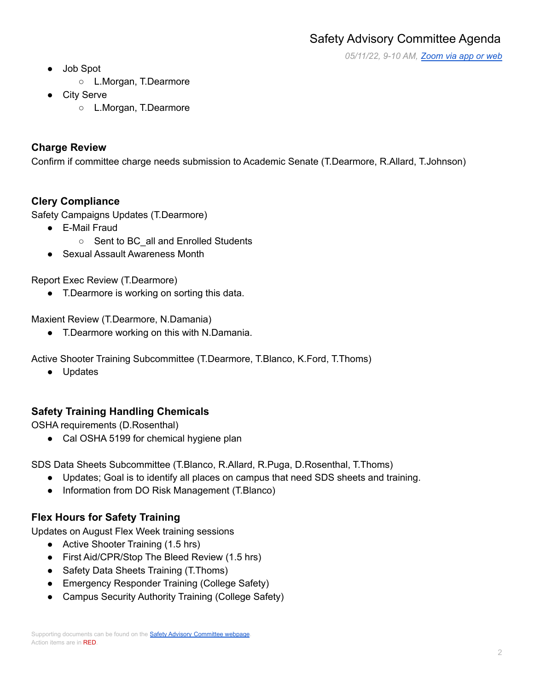*05/11/22, 9-10 AM, [Zoom](https://cccconfer.zoom.us/j/95588517472?pwd=OTV2dmFlMHN3dWkxRndrem1YL2dQQT09) via app or web*

- Job Spot
	- L.Morgan, T.Dearmore
- **City Serve** 
	- L.Morgan, T.Dearmore

## **Charge Review**

Confirm if committee charge needs submission to Academic Senate (T.Dearmore, R.Allard, T.Johnson)

## **Clery Compliance**

Safety Campaigns Updates (T.Dearmore)

- E-Mail Fraud
	- Sent to BC all and Enrolled Students
- Sexual Assault Awareness Month

Report Exec Review (T.Dearmore)

● T.Dearmore is working on sorting this data.

Maxient Review (T.Dearmore, N.Damania)

● T.Dearmore working on this with N.Damania.

Active Shooter Training Subcommittee (T.Dearmore, T.Blanco, K.Ford, T.Thoms)

● Updates

## **Safety Training Handling Chemicals**

OSHA requirements (D.Rosenthal)

● Cal OSHA 5199 for chemical hygiene plan

SDS Data Sheets Subcommittee (T.Blanco, R.Allard, R.Puga, D.Rosenthal, T.Thoms)

- Updates; Goal is to identify all places on campus that need SDS sheets and training.
- Information from DO Risk Management (T.Blanco)

## **Flex Hours for Safety Training**

Updates on August Flex Week training sessions

- Active Shooter Training (1.5 hrs)
- First Aid/CPR/Stop The Bleed Review (1.5 hrs)
- Safety Data Sheets Training (T.Thoms)
- Emergency Responder Training (College Safety)
- Campus Security Authority Training (College Safety)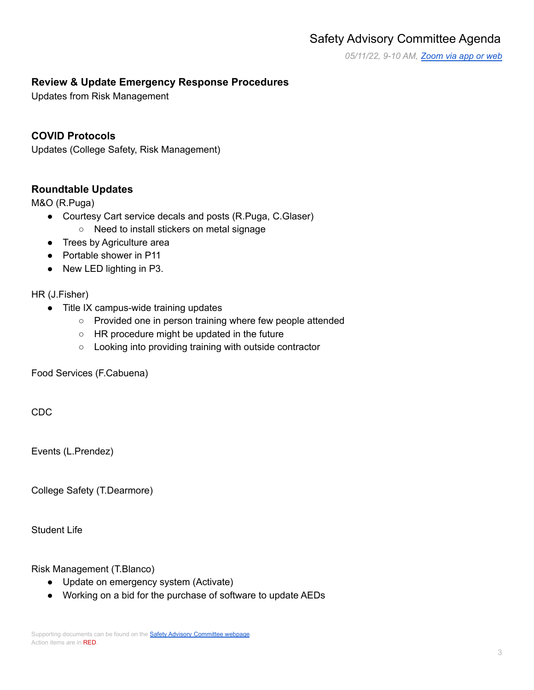## Safety Advisory Committee Agenda

*05/11/22, 9-10 AM, [Zoom](https://cccconfer.zoom.us/j/95588517472?pwd=OTV2dmFlMHN3dWkxRndrem1YL2dQQT09) via app or web*

## **Review & Update Emergency Response Procedures**

Updates from Risk Management

## **COVID Protocols**

Updates (College Safety, Risk Management)

#### **Roundtable Updates**

M&O (R.Puga)

- Courtesy Cart service decals and posts (R.Puga, C.Glaser)
	- Need to install stickers on metal signage
- Trees by Agriculture area
- Portable shower in P11
- New LED lighting in P3.

#### HR (J.Fisher)

- Title IX campus-wide training updates
	- Provided one in person training where few people attended
	- HR procedure might be updated in the future
	- Looking into providing training with outside contractor

Food Services (F.Cabuena)

CDC

Events (L.Prendez)

College Safety (T.Dearmore)

Student Life

Risk Management (T.Blanco)

- Update on emergency system (Activate)
- Working on a bid for the purchase of software to update AEDs